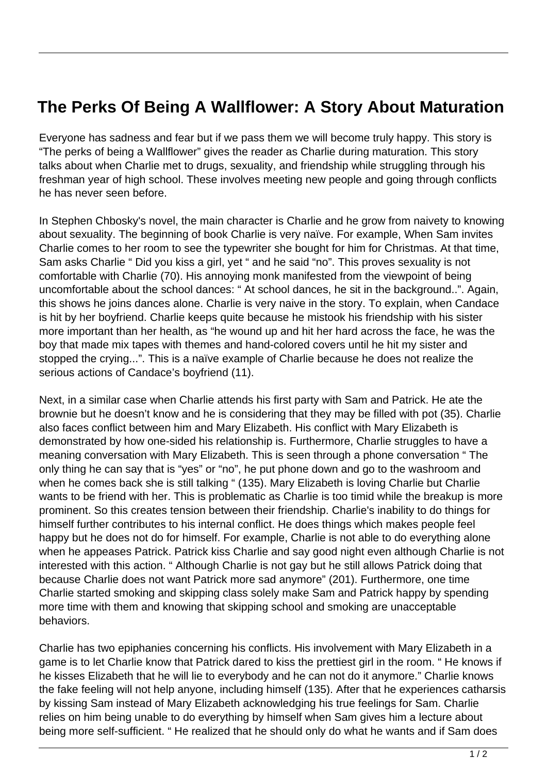## **The Perks Of Being A Wallflower: A Story About Maturation**

Everyone has sadness and fear but if we pass them we will become truly happy. This story is "The perks of being a Wallflower" gives the reader as Charlie during maturation. This story talks about when Charlie met to drugs, sexuality, and friendship while struggling through his freshman year of high school. These involves meeting new people and going through conflicts he has never seen before.

In Stephen Chbosky's novel, the main character is Charlie and he grow from naivety to knowing about sexuality. The beginning of book Charlie is very naïve. For example, When Sam invites Charlie comes to her room to see the typewriter she bought for him for Christmas. At that time, Sam asks Charlie " Did you kiss a girl, yet " and he said "no". This proves sexuality is not comfortable with Charlie (70). His annoying monk manifested from the viewpoint of being uncomfortable about the school dances: " At school dances, he sit in the background..". Again, this shows he joins dances alone. Charlie is very naive in the story. To explain, when Candace is hit by her boyfriend. Charlie keeps quite because he mistook his friendship with his sister more important than her health, as "he wound up and hit her hard across the face, he was the boy that made mix tapes with themes and hand-colored covers until he hit my sister and stopped the crying...". This is a naïve example of Charlie because he does not realize the serious actions of Candace's boyfriend (11).

Next, in a similar case when Charlie attends his first party with Sam and Patrick. He ate the brownie but he doesn't know and he is considering that they may be filled with pot (35). Charlie also faces conflict between him and Mary Elizabeth. His conflict with Mary Elizabeth is demonstrated by how one-sided his relationship is. Furthermore, Charlie struggles to have a meaning conversation with Mary Elizabeth. This is seen through a phone conversation " The only thing he can say that is "yes" or "no", he put phone down and go to the washroom and when he comes back she is still talking " (135). Mary Elizabeth is loving Charlie but Charlie wants to be friend with her. This is problematic as Charlie is too timid while the breakup is more prominent. So this creates tension between their friendship. Charlie's inability to do things for himself further contributes to his internal conflict. He does things which makes people feel happy but he does not do for himself. For example, Charlie is not able to do everything alone when he appeases Patrick. Patrick kiss Charlie and say good night even although Charlie is not interested with this action. " Although Charlie is not gay but he still allows Patrick doing that because Charlie does not want Patrick more sad anymore" (201). Furthermore, one time Charlie started smoking and skipping class solely make Sam and Patrick happy by spending more time with them and knowing that skipping school and smoking are unacceptable behaviors.

Charlie has two epiphanies concerning his conflicts. His involvement with Mary Elizabeth in a game is to let Charlie know that Patrick dared to kiss the prettiest girl in the room. " He knows if he kisses Elizabeth that he will lie to everybody and he can not do it anymore." Charlie knows the fake feeling will not help anyone, including himself (135). After that he experiences catharsis by kissing Sam instead of Mary Elizabeth acknowledging his true feelings for Sam. Charlie relies on him being unable to do everything by himself when Sam gives him a lecture about being more self-sufficient. " He realized that he should only do what he wants and if Sam does